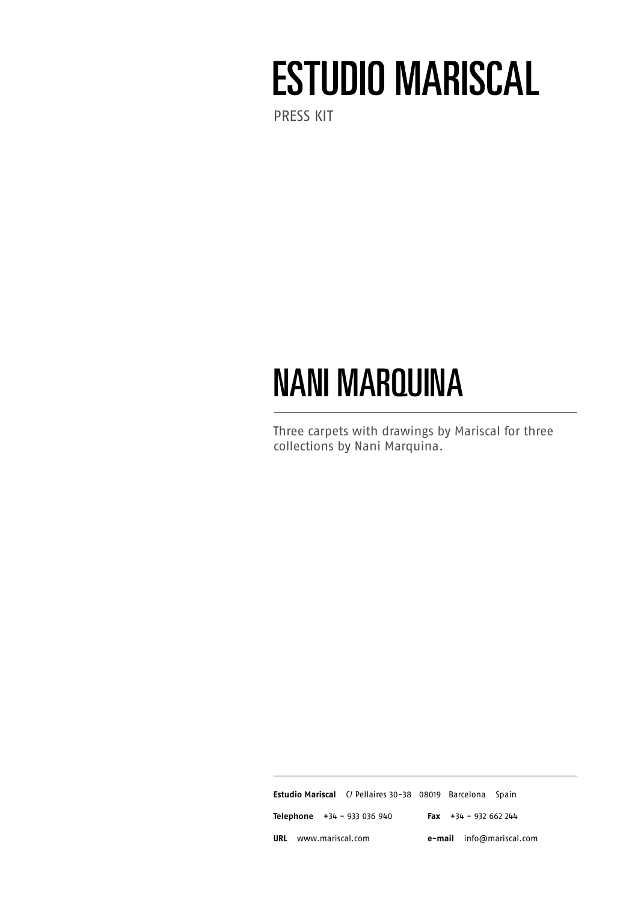# **ESTUDIO MARISCAL**

PRESs kit

## NANI MARQUINA

Three carpets with drawings by Mariscal for three collections by Nani Marquina.

**Estudio Mariscal** C/ Pellaires 30-38 08019 Barcelona Spain **Telephone** +34 - 933 036 940 **Fax** +34 - 932 662 244 **URL** www.mariscal.com **e-mail** info@mariscal.com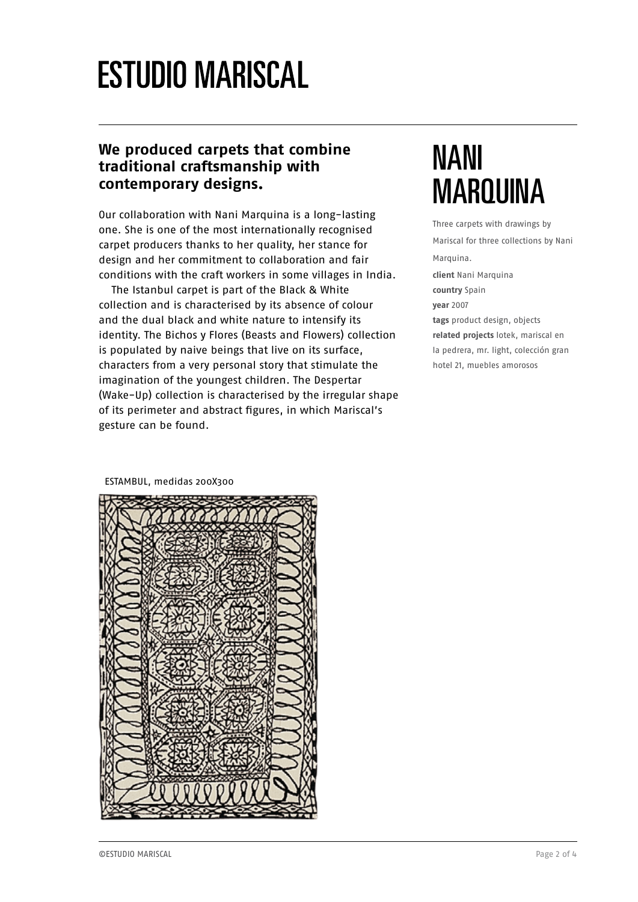### **ESTUDIO MARISCAL**

#### **We produced carpets that combine traditional craftsmanship with contemporary designs.**

Our collaboration with Nani Marquina is a long-lasting one. She is one of the most internationally recognised carpet producers thanks to her quality, her stance for design and her commitment to collaboration and fair conditions with the craft workers in some villages in India.

The Istanbul carpet is part of the Black & White collection and is characterised by its absence of colour and the dual black and white nature to intensify its identity. The Bichos y Flores (Beasts and Flowers) collection is populated by naive beings that live on its surface, characters from a very personal story that stimulate the imagination of the youngest children. The Despertar (Wake-Up) collection is characterised by the irregular shape of its perimeter and abstract figures, in which Mariscal's gesture can be found.

#### NANI MARQUINA

Three carpets with drawings by Mariscal for three collections by Nani Marquina. **client** Nani Marquina **country** Spain **year** 2007 **tags** product design, objects **related projects** lotek, mariscal en la pedrera, mr. light, colección gran hotel 21, muebles amorosos

ESTAMBUL, medidas 200X300

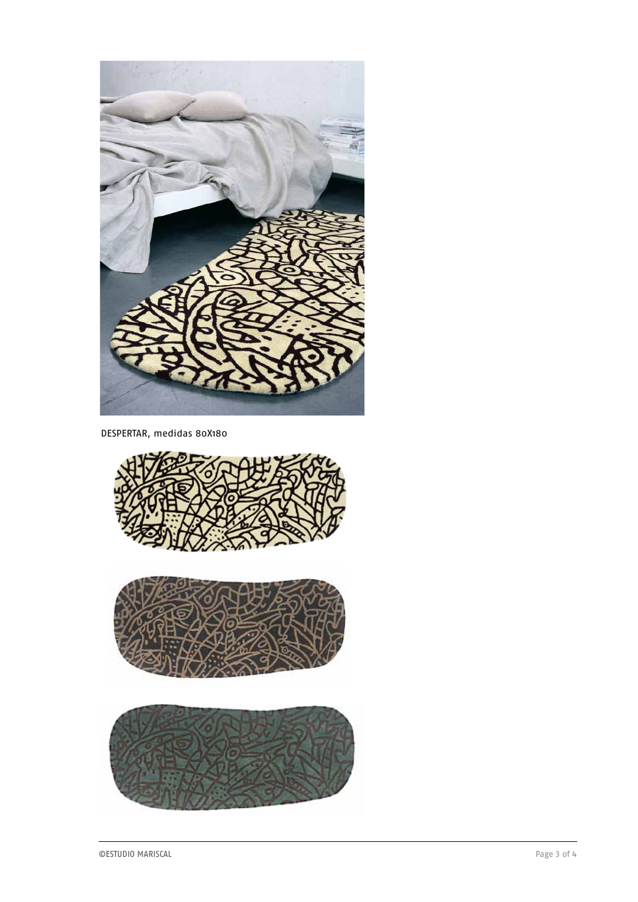

DESPERTAR, medidas 80X180